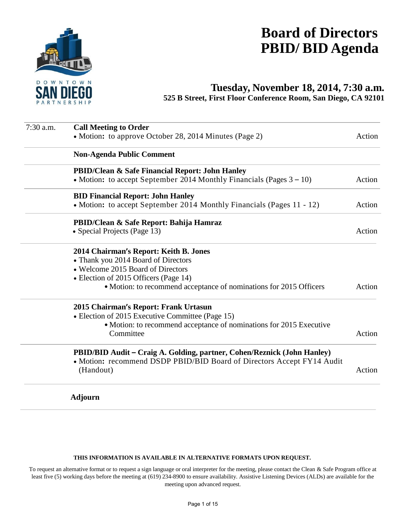

# **Board of Directors PBID/ BID Agenda**

# **Tuesday, November 18, 2014, 7:30 a.m.**

**525 B Street, First Floor Conference Room, San Diego, CA 92101** 

| 7:30 a.m. | <b>Call Meeting to Order</b>                                                        |        |
|-----------|-------------------------------------------------------------------------------------|--------|
|           | • Motion: to approve October 28, 2014 Minutes (Page 2)                              | Action |
|           | <b>Non-Agenda Public Comment</b>                                                    |        |
|           | <b>PBID/Clean &amp; Safe Financial Report: John Hanley</b>                          |        |
|           | • Motion: to accept September 2014 Monthly Financials (Pages $3 - 10$ )             | Action |
|           | <b>BID Financial Report: John Hanley</b>                                            |        |
|           | • Motion: to accept September 2014 Monthly Financials (Pages 11 - 12)               | Action |
|           | PBID/Clean & Safe Report: Bahija Hamraz                                             |        |
|           | • Special Projects (Page 13)                                                        | Action |
|           | 2014 Chairman's Report: Keith B. Jones                                              |        |
|           | • Thank you 2014 Board of Directors                                                 |        |
|           | • Welcome 2015 Board of Directors                                                   |        |
|           | • Election of 2015 Officers (Page 14)                                               |        |
|           | • Motion: to recommend acceptance of nominations for 2015 Officers                  | Action |
|           | 2015 Chairman's Report: Frank Urtasun                                               |        |
|           | • Election of 2015 Executive Committee (Page 15)                                    |        |
|           | • Motion: to recommend acceptance of nominations for 2015 Executive                 |        |
|           | Committee                                                                           | Action |
|           | PBID/BID Audit – Craig A. Golding, partner, Cohen/Reznick (John Hanley)             |        |
|           | • Motion: recommend DSDP PBID/BID Board of Directors Accept FY14 Audit<br>(Handout) | Action |
|           | <b>Adjourn</b>                                                                      |        |

#### **THIS INFORMATION IS AVAILABLE IN ALTERNATIVE FORMATS UPON REQUEST.**

To request an alternative format or to request a sign language or oral interpreter for the meeting, please contact the Clean & Safe Program office at least five (5) working days before the meeting at (619) 234-8900 to ensure availability. Assistive Listening Devices (ALDs) are available for the meeting upon advanced request.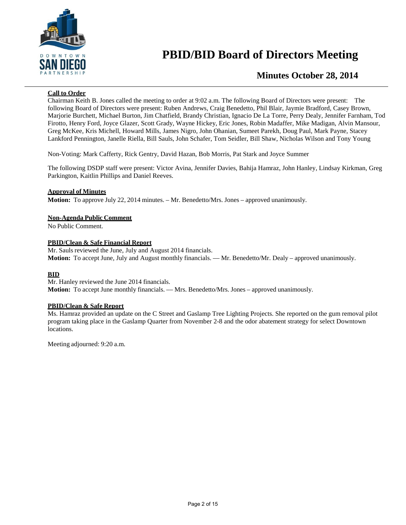

# **PBID/BID Board of Directors Meeting**

# **Minutes October 28, 2014**

#### **Call to Order**

Chairman Keith B. Jones called the meeting to order at 9:02 a.m. The following Board of Directors were present: The following Board of Directors were present: Ruben Andrews, Craig Benedetto, Phil Blair, Jaymie Bradford, Casey Brown, Marjorie Burchett, Michael Burton, Jim Chatfield, Brandy Christian, Ignacio De La Torre, Perry Dealy, Jennifer Farnham, Tod Firotto, Henry Ford, Joyce Glazer, Scott Grady, Wayne Hickey, Eric Jones, Robin Madaffer, Mike Madigan, Alvin Mansour, Greg McKee, Kris Michell, Howard Mills, James Nigro, John Ohanian, Sumeet Parekh, Doug Paul, Mark Payne, Stacey Lankford Pennington, Janelle Riella, Bill Sauls, John Schafer, Tom Seidler, Bill Shaw, Nicholas Wilson and Tony Young

Non-Voting: Mark Cafferty, Rick Gentry, David Hazan, Bob Morris, Pat Stark and Joyce Summer

The following DSDP staff were present: Victor Avina, Jennifer Davies, Bahija Hamraz, John Hanley, Lindsay Kirkman, Greg Parkington, Kaitlin Phillips and Daniel Reeves.

#### **Approval of Minutes**

**Motion:** To approve July 22, 2014 minutes. – Mr. Benedetto/Mrs. Jones – approved unanimously.

#### **Non-Agenda Public Comment**

No Public Comment.

#### **PBID/Clean & Safe Financial Report**

Mr. Sauls reviewed the June, July and August 2014 financials. **Motion:** To accept June, July and August monthly financials. — Mr. Benedetto/Mr. Dealy – approved unanimously.

#### **BID**

Mr. Hanley reviewed the June 2014 financials. **Motion:** To accept June monthly financials. –– Mrs. Benedetto/Mrs. Jones – approved unanimously.

#### **PBID/Clean & Safe Report**

Ms. Hamraz provided an update on the C Street and Gaslamp Tree Lighting Projects. She reported on the gum removal pilot program taking place in the Gaslamp Quarter from November 2-8 and the odor abatement strategy for select Downtown locations.

Meeting adjourned: 9:20 a.m.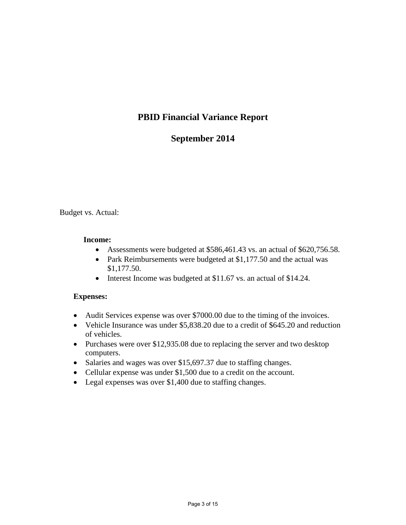# **PBID Financial Variance Report**

# **September 2014**

Budget vs. Actual:

#### **Income:**

- Assessments were budgeted at \$586,461.43 vs. an actual of \$620,756.58.
- Park Reimbursements were budgeted at \$1,177.50 and the actual was \$1,177.50.
- Interest Income was budgeted at \$11.67 vs. an actual of \$14.24.

## **Expenses:**

- Audit Services expense was over \$7000.00 due to the timing of the invoices.
- Vehicle Insurance was under \$5,838.20 due to a credit of \$645.20 and reduction of vehicles.
- Purchases were over \$12,935.08 due to replacing the server and two desktop computers.
- Salaries and wages was over \$15,697.37 due to staffing changes.
- Cellular expense was under \$1,500 due to a credit on the account.
- Legal expenses was over \$1,400 due to staffing changes.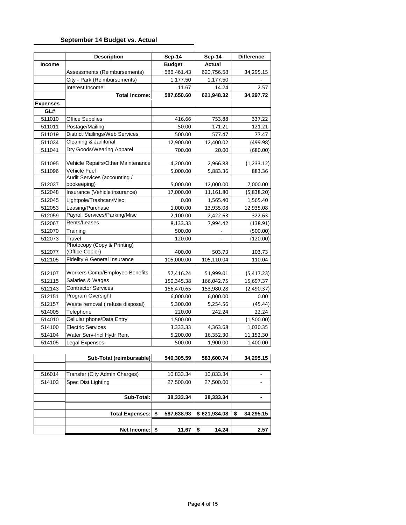#### **September 14 Budget vs. Actual**

|                 | <b>Description</b>                             | Sep-14        | Sep-14     | <b>Difference</b> |
|-----------------|------------------------------------------------|---------------|------------|-------------------|
| Income          |                                                | <b>Budget</b> | Actual     |                   |
|                 | Assessments (Reimbursements)                   | 586,461.43    | 620,756.58 | 34,295.15         |
|                 | City - Park (Reimbursements)                   | 1,177.50      | 1,177.50   |                   |
|                 | Interest Income:                               | 11.67         | 14.24      | 2.57              |
|                 | <b>Total Income:</b>                           | 587,650.60    | 621,948.32 | 34,297.72         |
| <b>Expenses</b> |                                                |               |            |                   |
| GL#             |                                                |               |            |                   |
| 511010          | <b>Office Supplies</b>                         | 416.66        | 753.88     | 337.22            |
| 511011          | Postage/Mailing                                | 50.00         | 171.21     | 121.21            |
| 511019          | <b>District Mailings/Web Services</b>          | 500.00        | 577.47     | 77.47             |
| 511034          | Cleaning & Janitorial                          | 12,900.00     | 12,400.02  | (499.98)          |
| 511041          | Dry Goods/Wearing Apparel                      | 700.00        | 20.00      | (680.00)          |
| 511095          | Vehicle Repairs/Other Maintenance              | 4,200.00      | 2,966.88   | (1,233.12)        |
| 511096          | Vehicle Fuel                                   | 5,000.00      | 5,883.36   | 883.36            |
|                 | Audit Services (accounting /                   |               |            |                   |
| 512037          | bookeeping)                                    | 5,000.00      | 12,000.00  | 7,000.00          |
| 512048          | Insurance (Vehicle insurance)                  | 17,000.00     | 11,161.80  | (5,838.20)        |
| 512045          | Lightpole/Trashcan/Misc                        | 0.00          | 1,565.40   | 1,565.40          |
| 512053          | Leasing/Purchase                               | 1,000.00      | 13,935.08  | 12,935.08         |
| 512059          | Payroll Services/Parking/Misc                  | 2,100.00      | 2,422.63   | 322.63            |
| 512067          | Rents/Leases                                   | 8,133.33      | 7,994.42   | (138.91)          |
| 512070          | Training                                       | 500.00        |            | (500.00)          |
| 512073          | Travel                                         | 120.00        |            | (120.00)          |
| 512077          | Photocopy (Copy & Printing)<br>(Office Copier) | 400.00        | 503.73     | 103.73            |
| 512105          | Fidelity & General Insurance                   | 105,000.00    | 105,110.04 | 110.04            |
| 512107          | Workers Comp/Employee Benefits                 | 57,416.24     | 51,999.01  | (5,417.23)        |
| 512115          | Salaries & Wages                               | 150,345.38    | 166,042.75 | 15,697.37         |
| 512143          | <b>Contractor Services</b>                     | 156,470.65    | 153,980.28 | (2,490.37)        |
| 512151          | Program Oversight                              | 6,000.00      | 6,000.00   | 0.00              |
| 512157          | Waste removal (refuse disposal)                | 5,300.00      | 5,254.56   | (45.44)           |
| 514005          | Telephone                                      | 220.00        | 242.24     | 22.24             |
| 514010          | Cellular phone/Data Entry                      | 1,500.00      |            | (1,500.00)        |
| 514100          | <b>Electric Services</b>                       | 3,333.33      | 4,363.68   | 1,030.35          |
| 514104          | Water Serv-Incl Hydr Rent                      | 5,200.00      | 16,352.30  | 11,152.30         |
| 514105          | Legal Expenses                                 | 500.00        | 1,900.00   | 1,400.00          |

|        | Sub-Total (reimbursable)      | 549,305.59       | 583,600.74   |   | 34,295.15 |
|--------|-------------------------------|------------------|--------------|---|-----------|
|        |                               |                  |              |   |           |
| 516014 | Transfer (City Admin Charges) | 10,833.34        | 10,833.34    |   |           |
| 514103 | Spec Dist Lighting            | 27,500.00        | 27,500.00    |   |           |
|        |                               |                  |              |   |           |
|        | Sub-Total:                    | 38,333.34        | 38,333.34    |   |           |
|        |                               |                  |              |   |           |
|        | <b>Total Expenses:</b>        | \$<br>587,638.93 | \$621,934.08 | S | 34,295.15 |
|        |                               |                  |              |   |           |
|        | Net Income:                   | \$<br>11.67      | 14.24<br>\$  |   | 2.57      |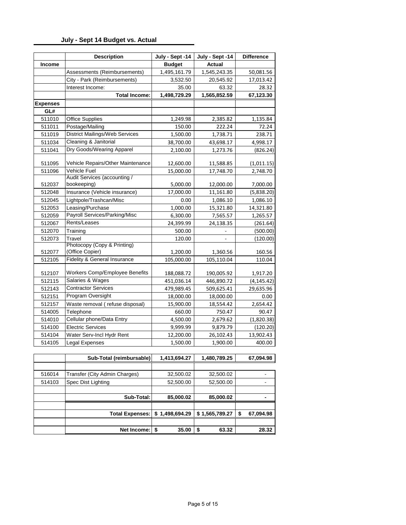## **July - Sept 14 Budget vs. Actual**

| Income<br><b>Expenses</b> | Assessments (Reimbursements)<br>City - Park (Reimbursements)<br>Interest Income:<br><b>Total Income:</b> | July - Sept -14<br><b>Budget</b><br>1,495,161.79<br>3,532.50<br>35.00<br>1,498,729.29 | <b>Actual</b><br>1,545,243.35<br>20,545.92 | 50,081.56   |
|---------------------------|----------------------------------------------------------------------------------------------------------|---------------------------------------------------------------------------------------|--------------------------------------------|-------------|
|                           |                                                                                                          |                                                                                       |                                            |             |
|                           |                                                                                                          |                                                                                       |                                            |             |
|                           |                                                                                                          |                                                                                       |                                            | 17,013.42   |
|                           |                                                                                                          |                                                                                       | 63.32                                      | 28.32       |
|                           |                                                                                                          |                                                                                       | 1,565,852.59                               | 67,123.30   |
|                           |                                                                                                          |                                                                                       |                                            |             |
| GL#                       |                                                                                                          |                                                                                       |                                            |             |
| 511010                    | <b>Office Supplies</b>                                                                                   | 1,249.98                                                                              | 2,385.82                                   | 1,135.84    |
| 511011                    | Postage/Mailing                                                                                          | 150.00                                                                                | 222.24                                     | 72.24       |
| 511019                    | <b>District Mailings/Web Services</b>                                                                    | 1,500.00                                                                              | 1,738.71                                   | 238.71      |
| 511034                    | Cleaning & Janitorial                                                                                    | 38,700.00                                                                             | 43,698.17                                  | 4,998.17    |
| 511041                    | Dry Goods/Wearing Apparel                                                                                | 2,100.00                                                                              | 1,273.76                                   | (826.24)    |
| 511095                    | Vehicle Repairs/Other Maintenance                                                                        | 12,600.00                                                                             | 11,588.85                                  | (1,011.15)  |
| 511096                    | <b>Vehicle Fuel</b>                                                                                      | 15,000.00                                                                             | 17,748.70                                  | 2,748.70    |
|                           | Audit Services (accounting /                                                                             |                                                                                       |                                            |             |
| 512037                    | bookeeping)                                                                                              | 5,000.00                                                                              | 12,000.00                                  | 7,000.00    |
| 512048                    | Insurance (Vehicle insurance)                                                                            | 17,000.00                                                                             | 11,161.80                                  | (5,838.20)  |
| 512045                    | Lightpole/Trashcan/Misc                                                                                  | 0.00                                                                                  | 1,086.10                                   | 1,086.10    |
| 512053                    | Leasing/Purchase                                                                                         | 1,000.00                                                                              | 15,321.80                                  | 14,321.80   |
| 512059                    | Payroll Services/Parking/Misc                                                                            | 6,300.00                                                                              | 7,565.57                                   | 1,265.57    |
| 512067                    | Rents/Leases                                                                                             | 24,399.99                                                                             | 24,138.35                                  | (261.64)    |
| 512070                    | Training                                                                                                 | 500.00                                                                                |                                            | (500.00)    |
| 512073                    | Travel                                                                                                   | 120.00                                                                                |                                            | (120.00)    |
| 512077                    | Photocopy (Copy & Printing)<br>(Office Copier)                                                           | 1,200.00                                                                              | 1,360.56                                   | 160.56      |
| 512105                    | Fidelity & General Insurance                                                                             | 105,000.00                                                                            | 105,110.04                                 | 110.04      |
| 512107                    | Workers Comp/Employee Benefits                                                                           | 188,088.72                                                                            | 190,005.92                                 | 1,917.20    |
| 512115                    | Salaries & Wages                                                                                         | 451,036.14                                                                            | 446,890.72                                 | (4, 145.42) |
| 512143                    | <b>Contractor Services</b>                                                                               | 479,989.45                                                                            | 509,625.41                                 | 29,635.96   |
| 512151                    | Program Oversight                                                                                        | 18,000.00                                                                             | 18,000.00                                  | 0.00        |
| 512157                    | Waste removal (refuse disposal)                                                                          | 15,900.00                                                                             | 18,554.42                                  | 2,654.42    |
| 514005                    | Telephone                                                                                                | 660.00                                                                                | 750.47                                     | 90.47       |
| 514010                    | Cellular phone/Data Entry                                                                                | 4,500.00                                                                              | 2,679.62                                   | (1,820.38)  |
| 514100                    | <b>Electric Services</b>                                                                                 | 9,999.99                                                                              | 9,879.79                                   | (120.20)    |
| 514104                    | Water Serv-Incl Hydr Rent                                                                                | 12,200.00                                                                             | 26,102.43                                  | 13,902.43   |
| 514105                    | Legal Expenses                                                                                           | 1,500.00                                                                              | 1,900.00                                   | 400.00      |

|        | Sub-Total (reimbursable)      | 1,413,694.27   | 1,480,789.25   | 67,094.98      |
|--------|-------------------------------|----------------|----------------|----------------|
|        |                               |                |                |                |
| 516014 | Transfer (City Admin Charges) | 32,500.02      | 32,500.02      |                |
| 514103 | Spec Dist Lighting            | 52,500.00      | 52,500.00      |                |
|        |                               |                |                |                |
|        | Sub-Total:                    | 85,000.02      | 85,000.02      |                |
|        |                               |                |                |                |
|        | <b>Total Expenses:</b>        | \$1,498,694.29 | \$1,565,789.27 | 67,094.98<br>S |
|        |                               |                |                |                |
|        | Net Income:                   | 35.00<br>S     | 63.32<br>S     | 28.32          |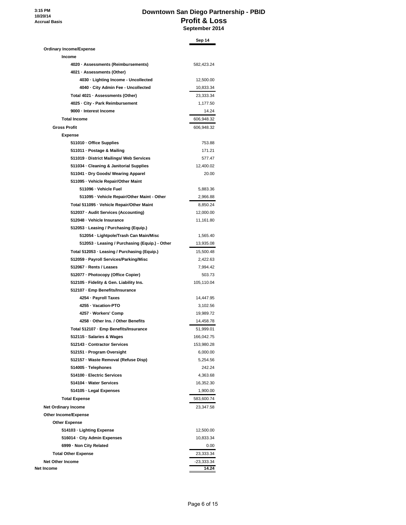**3:15 PM 10/20/14 Accrual Basis**

## **Downtown San Diego Partnership - PBID Profit & Loss September 2014**

|                                                | Sep 14     |
|------------------------------------------------|------------|
| <b>Ordinary Income/Expense</b>                 |            |
| Income                                         |            |
| 4020 · Assessments (Reimbursements)            | 582,423.24 |
| 4021 · Assessments (Other)                     |            |
| 4030 - Lighting Income - Uncollected           | 12,500.00  |
| 4040 - City Admin Fee - Uncollected            | 10,833.34  |
| Total 4021 · Assessments (Other)               | 23,333.34  |
| 4025 · City - Park Reimbursement               | 1,177.50   |
| 9000 - Interest Income                         | 14.24      |
| <b>Total Income</b>                            | 606,948.32 |
| <b>Gross Profit</b>                            | 606,948.32 |
| <b>Expense</b>                                 |            |
| 511010 · Office Supplies                       | 753.88     |
| 511011 · Postage & Mailing                     | 171.21     |
| 511019 - District Mailings/ Web Services       | 577.47     |
| 511034 - Cleaning & Janitorial Supplies        | 12,400.02  |
| 511041 · Dry Goods/ Wearing Apparel            | 20.00      |
| 511095 - Vehicle Repair/Other Maint            |            |
| 511096 · Vehicle Fuel                          | 5,883.36   |
| 511095 - Vehicle Repair/Other Maint - Other    | 2,966.88   |
| Total 511095 - Vehicle Repair/Other Maint      | 8,850.24   |
| 512037 - Audit Services (Accounting)           | 12,000.00  |
| 512048 - Vehicle Insurance                     | 11,161.80  |
| 512053 · Leasing / Purchasing (Equip.)         |            |
| 512054 - Lightpole/Trash Can Main/Misc         | 1,565.40   |
| 512053 · Leasing / Purchasing (Equip.) - Other | 13,935.08  |
| Total 512053 - Leasing / Purchasing (Equip.)   | 15,500.48  |
| 512059 - Payroll Services/Parking/Misc         | 2,422.63   |
| 512067 - Rents / Leases                        | 7,994.42   |
| 512077 - Photocopy (Office Copier)             | 503.73     |
| 512105 · Fidelity & Gen. Liability Ins.        | 105,110.04 |
| 512107 - Emp Benefits/Insurance                |            |
| 4254 - Payroll Taxes                           | 14,447.95  |
| 4255 · Vacation-PTO                            | 3,102.56   |
| 4257 - Workers' Comp                           | 19,989.72  |
| 4258 - Other Ins. / Other Benefits             | 14,458.78  |
| Total 512107 - Emp Benefits/Insurance          | 51,999.01  |
| 512115 · Salaries & Wages                      | 166,042.75 |
| 512143 - Contractor Services                   | 153,980.28 |
| 512151 - Program Oversight                     | 6,000.00   |
| 512157 - Waste Removal (Refuse Disp)           | 5,254.56   |
| 514005 · Telephones                            | 242.24     |
| 514100 - Electric Services                     | 4,363.68   |
| 514104 · Water Services                        | 16,352.30  |
| 514105 · Legal Expenses                        | 1,900.00   |
|                                                |            |
| <b>Total Expense</b>                           | 583,600.74 |
| <b>Net Ordinary Income</b>                     | 23,347.58  |
| <b>Other Income/Expense</b>                    |            |
| <b>Other Expense</b>                           |            |
| 514103 - Lighting Expense                      | 12,500.00  |
| 516014 - City Admin Expenses                   | 10,833.34  |
| 6999 - Non City Related                        | 0.00       |
| <b>Total Other Expense</b>                     | 23,333.34  |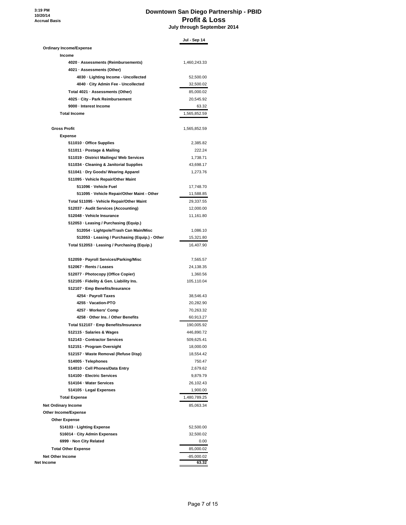**3:19 PM 10/20/14 Accrual Basis**

#### **Downtown San Diego Partnership - PBID Profit & Loss July through September 2014**

|                                                | Jul - Sep 14 |
|------------------------------------------------|--------------|
| <b>Ordinary Income/Expense</b>                 |              |
| Income                                         |              |
| 4020 · Assessments (Reimbursements)            | 1,460,243.33 |
| 4021 · Assessments (Other)                     |              |
| 4030 · Lighting Income - Uncollected           | 52,500.00    |
| 4040 - City Admin Fee - Uncollected            | 32,500.02    |
| Total 4021 · Assessments (Other)               | 85,000.02    |
| 4025 · City - Park Reimbursement               | 20,545.92    |
| 9000 - Interest Income                         | 63.32        |
| <b>Total Income</b>                            | 1,565,852.59 |
| <b>Gross Profit</b>                            | 1,565,852.59 |
| <b>Expense</b>                                 |              |
| 511010 · Office Supplies                       | 2,385.82     |
| 511011 · Postage & Mailing                     | 222.24       |
| 511019 - District Mailings/ Web Services       | 1,738.71     |
| 511034 · Cleaning & Janitorial Supplies        | 43,698.17    |
| 511041 · Dry Goods/ Wearing Apparel            | 1,273.76     |
| 511095 · Vehicle Repair/Other Maint            |              |
| 511096 - Vehicle Fuel                          | 17,748.70    |
| 511095 · Vehicle Repair/Other Maint - Other    | 11,588.85    |
| Total 511095 - Vehicle Repair/Other Maint      | 29,337.55    |
| 512037 - Audit Services (Accounting)           | 12,000.00    |
| 512048 · Vehicle Insurance                     | 11,161.80    |
| 512053 · Leasing / Purchasing (Equip.)         |              |
| 512054 - Lightpole/Trash Can Main/Misc         | 1,086.10     |
| 512053 · Leasing / Purchasing (Equip.) - Other | 15,321.80    |
| Total 512053 · Leasing / Purchasing (Equip.)   | 16,407.90    |
|                                                |              |
| 512059 · Payroll Services/Parking/Misc         | 7,565.57     |
| 512067 - Rents / Leases                        | 24,138.35    |
| 512077 - Photocopy (Office Copier)             | 1,360.56     |
| 512105 - Fidelity & Gen. Liability Ins.        | 105,110.04   |
| 512107 · Emp Benefits/Insurance                |              |
| 4254 - Payroll Taxes                           | 38,546.43    |
| 4255 · Vacation-PTO                            | 20,282.90    |
| 4257 - Workers' Comp                           | 70,263.32    |
| 4258 · Other Ins. / Other Benefits             | 60,913.27    |
| Total 512107 - Emp Benefits/Insurance          | 190,005.92   |
| 512115 · Salaries & Wages                      | 446,890.72   |
| 512143 - Contractor Services                   | 509,625.41   |
| 512151 - Program Oversight                     | 18,000.00    |
| 512157 · Waste Removal (Refuse Disp)           | 18,554.42    |
| 514005 · Telephones                            | 750.47       |
| 514010 · Cell Phones/Data Entry                | 2,679.62     |
| 514100 - Electric Services                     | 9,879.79     |
| 514104 · Water Services                        | 26,102.43    |
| 514105 · Legal Expenses                        | 1,900.00     |
| <b>Total Expense</b>                           | 1,480,789.25 |
|                                                |              |
| <b>Net Ordinary Income</b>                     | 85,063.34    |
| Other Income/Expense                           |              |
| <b>Other Expense</b>                           |              |
| 514103 · Lighting Expense                      | 52,500.00    |
| 516014 · City Admin Expenses                   | 32,500.02    |
| 6999 - Non City Related                        | 0.00         |
| <b>Total Other Expense</b>                     | 85,000.02    |
| <b>Net Other Income</b>                        | $-85,000.02$ |
| Net Income                                     | 63.32        |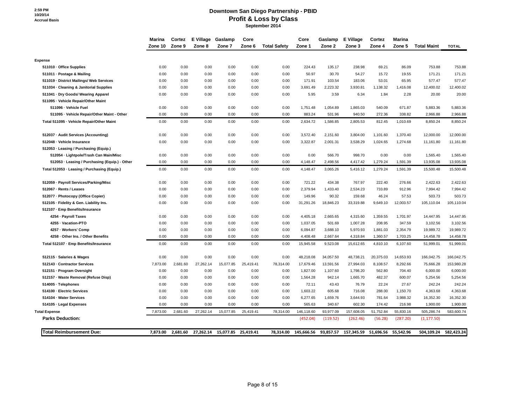#### **Downtown San Diego Partnership - PBID Profit & Loss by Class September 2014**

|                                              | Marina       | Cortez       | E Village Gaslamp |                     | Core         |                     | Core               | Gaslamp         | E Village       | Cortez         | <b>Marina</b>  |                    |                  |
|----------------------------------------------|--------------|--------------|-------------------|---------------------|--------------|---------------------|--------------------|-----------------|-----------------|----------------|----------------|--------------------|------------------|
|                                              | Zone 10      | Zone 9       | Zone 8            | Zone 7              | Zone 6       | <b>Total Safety</b> | Zone 1             | Zone 2          | Zone 3          | Zone 4         | Zone 5         | <b>Total Maint</b> | <b>TOTAL</b>     |
|                                              |              |              |                   |                     |              |                     |                    |                 |                 |                |                |                    |                  |
| <b>Expense</b>                               |              |              |                   |                     |              |                     |                    |                 |                 |                |                |                    |                  |
| 511010 Office Supplies                       | 0.00         | 0.00         | 0.00              | 0.00                | 0.00         | 0.00                | 224.43             | 135.17          | 238.98          | 69.21          | 86.09          | 753.88             | 753.88           |
| 511011 - Postage & Mailing                   | 0.00<br>0.00 | 0.00<br>0.00 | 0.00              | 0.00                | 0.00         | 0.00<br>0.00        | 50.97              | 30.70<br>103.54 | 54.27<br>183.06 | 15.72<br>53.01 | 19.55<br>65.95 | 171.21<br>577.47   | 171.21<br>577.47 |
| 511019 District Mailings/ Web Services       | 0.00         | 0.00         | 0.00<br>0.00      | 0.00<br>0.00        | 0.00<br>0.00 | 0.00                | 171.91<br>3,691.49 | 2,223.32        | 3,930.81        | 1,138.32       | 1,416.08       | 12,400.02          | 12,400.02        |
| 511034 Cleaning & Janitorial Supplies        |              |              |                   |                     |              |                     |                    |                 |                 |                |                |                    |                  |
| 511041 Dry Goods/ Wearing Apparel            | 0.00         | 0.00         | 0.00              | 0.00                | 0.00         | 0.00                | 5.95               | 3.59            | 6.34            | 1.84           | 2.28           | 20.00              | 20.00            |
| 511095 Vehicle Repair/Other Maint            |              |              |                   |                     |              |                     |                    |                 |                 |                |                |                    |                  |
| 511096 - Vehicle Fuel                        | 0.00         | 0.00         | 0.00              | 0.00                | 0.00         | 0.00                | 1,751.48           | 1,054.89        | 1,865.03        | 540.09         | 671.87         | 5,883.36           | 5,883.36         |
| 511095 - Vehicle Repair/Other Maint - Other  | 0.00         | 0.00         | 0.00              | 0.00                | 0.00         | 0.00                | 883.24             | 531.96          | 940.50          | 272.36         | 338.82         | 2,966.88           | 2,966.88         |
| Total 511095 - Vehicle Repair/Other Maint    | 0.00         | 0.00         | 0.00              | 0.00                | 0.00         | 0.00                | 2,634.72           | 1,586.85        | 2,805.53        | 812.45         | 1,010.69       | 8,850.24           | 8,850.24         |
| 512037 - Audit Services (Accounting)         | 0.00         | 0.00         | 0.00              | 0.00                | 0.00         | 0.00                | 3,572.40           | 2,151.60        | 3,804.00        | 1,101.60       | 1,370.40       | 12,000.00          | 12,000.00        |
| 512048 - Vehicle Insurance                   | 0.00         | 0.00         | 0.00              | 0.00                | 0.00         | 0.00                | 3,322.87           | 2,001.31        | 3,538.29        | 1,024.65       | 1,274.68       | 11,161.80          | 11,161.80        |
| 512053 Leasing / Purchasing (Equip.)         |              |              |                   |                     |              |                     |                    |                 |                 |                |                |                    |                  |
| 512054 - Lightpole/Trash Can Main/Misc       | 0.00         | 0.00         | 0.00              | 0.00                | 0.00         | 0.00                | 0.00               | 566.70          | 998.70          | 0.00           | 0.00           | 1,565.40           | 1,565.40         |
| 512053 Leasing / Purchasing (Equip.) - Other | 0.00         | 0.00         | 0.00              | 0.00                | 0.00         | 0.00                | 4,148.47           | 2,498.56        | 4,417.42        | 1,279.24       | 1,591.39       | 13,935.08          | 13,935.08        |
| Total 512053 - Leasing / Purchasing (Equip.) | 0.00         | 0.00         | 0.00              | 0.00                | 0.00         | 0.00                | 4,148.47           | 3,065.26        | 5,416.12        | 1,279.24       | 1,591.39       | 15,500.48          | 15,500.48        |
| 512059 - Payroll Services/Parking/Misc       | 0.00         | 0.00         | 0.00              | 0.00                | 0.00         | 0.00                | 721.22             | 434.38          | 767.97          | 222.40         | 276.66         | 2,422.63           | 2,422.63         |
| 512067 Rents / Leases                        | 0.00         | 0.00         | 0.00              | 0.00                | 0.00         | 0.00                | 2,379.94           | 1,433.40        | 2,534.23        | 733.89         | 912.96         | 7,994.42           | 7,994.42         |
| 512077 - Photocopy (Office Copier)           | 0.00         | 0.00         | 0.00              | 0.00                | 0.00         | 0.00                | 149.96             | 90.32           | 159.68          | 46.24          | 57.53          | 503.73             | 503.73           |
| 512105 Fidelity & Gen. Liability Ins.        | 0.00         | 0.00         | 0.00              | 0.00                | 0.00         | 0.00                | 31,291.26          | 18,846.23       | 33,319.88       | 9,649.10       | 12,003.57      | 105,110.04         | 105,110.04       |
| 512107 - Emp Benefits/Insurance              |              |              |                   |                     |              |                     |                    |                 |                 |                |                |                    |                  |
| 4254 - Payroll Taxes                         | 0.00         | 0.00         | 0.00              | 0.00                | 0.00         | 0.00                | 4,405.18           | 2,665.65        | 4,315.60        | 1,359.55       | 1,701.97       | 14,447.95          | 14,447.95        |
| 4255 Vacation-PTO                            | 0.00         | 0.00         | 0.00              | 0.00                | 0.00         | 0.00                | 1,037.05           | 501.69          | 1,007.28        | 208.95         | 347.59         | 3,102.56           | 3,102.56         |
| 4257 - Workers' Comp                         | 0.00         | 0.00         | 0.00              | 0.00                | 0.00         | 0.00                | 6,094.87           | 3,688.10        | 5,970.93        | 1,881.03       | 2,354.79       | 19,989.72          | 19,989.72        |
| 4258 Other Ins. / Other Benefits             | 0.00         | 0.00         | 0.00              | 0.00                | 0.00         | 0.00                | 4,408.48           | 2,667.64        | 4,318.84        | 1,360.57       | 1,703.25       | 14,458.78          | 14,458.78        |
| Total 512107 - Emp Benefits/Insurance        | 0.00         | 0.00         | 0.00              | 0.00                | 0.00         | 0.00                | 15,945.58          | 9,523.08        | 15,612.65       | 4,810.10       | 6,107.60       | 51,999.01          | 51,999.01        |
| 512115 · Salaries & Wages                    | 0.00         | 0.00         | 0.00              | 0.00                | 0.00         | 0.00                | 48,218.08          | 34,057.50       | 48,738.21       | 20,375.03      | 14,653.93      | 166,042.75         | 166,042.75       |
| 512143 Contractor Services                   | 7,873.00     | 2,681.60     | 27,262.14         | 15,077.85           | 25,419.41    | 78,314.00           | 17,679.46          | 13,591.56       | 27,994.03       | 8,108.57       | 8,292.66       | 75,666.28          | 153,980.28       |
| 512151 Program Oversight                     | 0.00         | 0.00         | 0.00              | 0.00                | 0.00         | 0.00                | 1,827.00           | 1,107.60        | 1,798.20        | 562.80         | 704.40         | 6,000.00           | 6,000.00         |
| 512157 · Waste Removal (Refuse Disp)         | 0.00         | 0.00         | 0.00              | 0.00                | 0.00         | 0.00                | 1,564.28           | 942.14          | 1,665.70        | 482.37         | 600.07         | 5,254.56           | 5,254.56         |
| 514005 · Telephones                          | 0.00         | 0.00         | 0.00              | 0.00                | 0.00         | 0.00                | 72.11              | 43.43           | 76.79           | 22.24          | 27.67          | 242.24             | 242.24           |
| 514100 - Electric Services                   | 0.00         | 0.00         | 0.00              | 0.00                | 0.00         | 0.00                | 1,603.22           | 605.68          | 716.08          | 288.00         | 1,150.70       | 4,363.68           | 4,363.68         |
| 514104 Water Services                        | 0.00         | 0.00         | 0.00              | 0.00                | 0.00         | 0.00                | 6,277.65           | 1,659.76        | 3,644.93        | 781.64         | 3,988.32       | 16,352.30          | 16,352.30        |
| 514105 - Legal Expenses                      | 0.00         | 0.00         | 0.00              | 0.00                | 0.00         | 0.00                | 565.63             | 340.67          | 602.30          | 174.42         | 216.98         | 1,900.00           | 1,900.00         |
| <b>Total Expense</b>                         | 7,873.00     | 2,681.60     | 27,262.14         | 15,077.85           | 25,419.41    | 78,314.00           | 146,118.60         | 93,977.09       | 157,608.05      | 51,752.84      | 55,830.16      | 505,286.74         | 583,600.74       |
| <b>Parks Deduction:</b>                      |              |              |                   |                     |              |                     | (452.04)           | (119.52)        | (262.46)        | (56.28)        | (287.20)       | (1, 177.50)        |                  |
| <b>Total Reimbursement Due:</b>              | 7,873.00     | 2,681.60     |                   | 27,262.14 15,077.85 | 25,419.41    | 78,314.00           | 145,666.56         | 93,857.57       | 157,345.59      | 51,696.56      | 55,542.96      | 504,109.24         | 582,423.24       |
|                                              |              |              |                   |                     |              |                     |                    |                 |                 |                |                |                    |                  |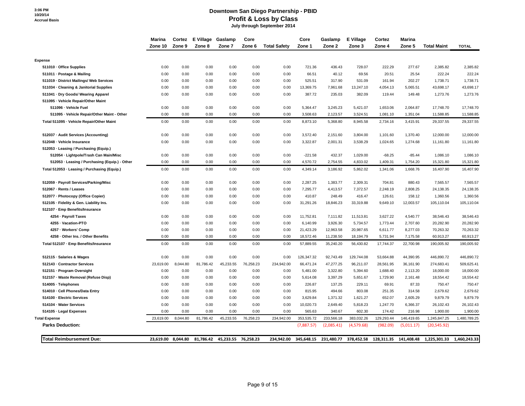## **Downtown San Diego Partnership - PBID Profit & Loss by Class**

 **July through September 2014**

|                                              | Marina    | Cortez             | E Village | Gaslamp             | Core      |                     | Core       | Gaslamp                          | E Village  | Cortez     | Marina     |                                    |              |
|----------------------------------------------|-----------|--------------------|-----------|---------------------|-----------|---------------------|------------|----------------------------------|------------|------------|------------|------------------------------------|--------------|
|                                              | Zone 10   | Zone 9             | Zone 8    | Zone 7              | Zone 6    | <b>Total Safety</b> | Zone 1     | Zone 2                           | Zone 3     | Zone 4     | Zone 5     | <b>Total Maint</b>                 | <b>TOTAL</b> |
|                                              |           |                    |           |                     |           |                     |            |                                  |            |            |            |                                    |              |
| <b>Expense</b>                               |           |                    |           |                     |           |                     |            |                                  |            |            |            |                                    |              |
| 511010 Office Supplies                       | 0.00      | 0.00               | 0.00      | 0.00                | 0.00      | 0.00                | 721.36     | 436.43                           | 728.07     | 222.29     | 277.67     | 2,385.82                           | 2,385.82     |
| 511011 Postage & Mailing                     | 0.00      | 0.00               | 0.00      | 0.00                | 0.00      | 0.00                | 66.51      | 40.12                            | 69.56      | 20.51      | 25.54      | 222.24                             | 222.24       |
| 511019 District Mailings/ Web Services       | 0.00      | 0.00               | 0.00      | 0.00                | 0.00      | 0.00                | 525.51     | 317.90                           | 531.09     | 161.94     | 202.27     | 1,738.71                           | 1,738.71     |
| 511034 Cleaning & Janitorial Supplies        | 0.00      | 0.00               | 0.00      | 0.00                | 0.00      | 0.00                | 13,369.75  | 7,961.68                         | 13,247.10  | 4,054.13   | 5,065.51   | 43,698.17                          | 43,698.17    |
| 511041 Dry Goods/ Wearing Apparel            | 0.00      | 0.00               | 0.00      | 0.00                | 0.00      | 0.00                | 387.72     | 235.03                           | 382.09     | 119.44     | 149.48     | 1,273.76                           | 1,273.76     |
| 511095 - Vehicle Repair/Other Maint          |           |                    |           |                     |           |                     |            |                                  |            |            |            |                                    |              |
| 511096 - Vehicle Fuel                        | 0.00      | 0.00               | 0.00      | 0.00                | 0.00      | 0.00                | 5,364.47   | 3,245.23                         | 5,421.07   | 1,653.06   | 2,064.87   | 17,748.70                          | 17,748.70    |
| 511095 - Vehicle Repair/Other Maint - Other  | 0.00      | 0.00               | 0.00      | 0.00                | 0.00      | 0.00                | 3,508.63   | 2,123.57                         | 3,524.51   | 1,081.10   | 1,351.04   | 11,588.85                          | 11,588.85    |
| Total 511095 - Vehicle Repair/Other Maint    | 0.00      | 0.00               | 0.00      | 0.00                | 0.00      | 0.00                | 8,873.10   | 5,368.80                         | 8,945.58   | 2,734.16   | 3,415.91   | 29,337.55                          | 29,337.55    |
| 512037 - Audit Services (Accounting)         | 0.00      | 0.00               | 0.00      | 0.00                | 0.00      | 0.00                | 3,572.40   | 2,151.60                         | 3,804.00   | 1,101.60   | 1,370.40   | 12,000.00                          | 12,000.00    |
| 512048 - Vehicle Insurance                   | 0.00      | 0.00               | 0.00      | 0.00                | 0.00      | 0.00                | 3,322.87   | 2,001.31                         | 3,538.29   | 1,024.65   | 1,274.68   | 11,161.80                          | 11,161.80    |
| 512053 - Leasing / Purchasing (Equip.)       |           |                    |           |                     |           |                     |            |                                  |            |            |            |                                    |              |
| 512054 - Lightpole/Trash Can Main/Misc       | 0.00      | 0.00               | 0.00      | 0.00                | 0.00      | 0.00                | $-221.58$  | 432.37                           | 1,029.00   | $-68.25$   | $-85.44$   | 1,086.10                           | 1,086.10     |
| 512053 Leasing / Purchasing (Equip.) - Other | 0.00      | 0.00               | 0.00      | 0.00                | 0.00      | 0.00                | 4,570.72   | 2,754.55                         | 4,833.02   | 1,409.31   | 1,754.20   | 15,321.80                          | 15,321.80    |
| Total 512053 - Leasing / Purchasing (Equip.) | 0.00      | 0.00               | 0.00      | 0.00                | 0.00      | 0.00                | 4,349.14   | 3,186.92                         | 5,862.02   | 1,341.06   | 1,668.76   | 16,407.90                          | 16,407.90    |
| 512059 Payroll Services/Parking/Misc         | 0.00      | 0.00               | 0.00      | 0.00                | 0.00      | 0.00                | 2,287.25   | 1,383.77                         | 2,309.31   | 704.81     | 880.43     | 7,565.57                           | 7,565.57     |
| 512067 - Rents / Leases                      | 0.00      | 0.00               | 0.00      | 0.00                | 0.00      | 0.00                | 7,295.77   | 4,413.57                         | 7,372.57   | 2,248.19   | 2,808.25   | 24,138.35                          | 24,138.35    |
| 512077 - Photocopy (Office Copier)           | 0.00      | 0.00               | 0.00      | 0.00                | 0.00      | 0.00                | 410.87     | 248.49                           | 416.47     | 126.61     | 158.12     | 1,360.56                           | 1,360.56     |
| 512105 Fidelity & Gen. Liability Ins.        | 0.00      | 0.00               | 0.00      | 0.00                | 0.00      | 0.00                | 31,291.26  | 18,846.23                        | 33,319.88  | 9,649.10   | 12,003.57  | 105,110.04                         | 105,110.04   |
| 512107 Emp Benefits/Insurance                |           |                    |           |                     |           |                     |            |                                  |            |            |            |                                    |              |
| 4254 - Payroll Taxes                         | 0.00      | 0.00               | 0.00      | 0.00                | 0.00      | 0.00                | 11,752.81  | 7,111.82                         | 11,513.81  | 3,627.22   | 4,540.77   | 38,546.43                          | 38,546.43    |
| 4255 · Vacation-PTO                          | 0.00      | 0.00               | 0.00      | 0.00                | 0.00      | 0.00                | 6,140.99   | 3,926.30                         | 5,734.57   | 1,773.44   | 2,707.60   | 20,282.90                          | 20,282.90    |
| 4257 Workers' Comp                           | 0.00      | 0.00               | 0.00      | 0.00                | 0.00      | 0.00                | 21,423.29  | 12,963.58                        | 20,987.65  | 6,611.77   | 8,277.03   | 70,263.32                          | 70,263.32    |
| 4258 - Other Ins. / Other Benefits           | 0.00      | 0.00               | 0.00      | 0.00                | 0.00      | 0.00                | 18,572.46  | 11,238.50                        | 18,194.79  | 5,731.94   | 7,175.58   | 60,913.27                          | 60,913.27    |
| Total 512107 - Emp Benefits/Insurance        | 0.00      | 0.00               | 0.00      | 0.00                | 0.00      | 0.00                | 57,889.55  | 35,240.20                        | 56,430.82  | 17,744.37  | 22,700.98  | 190,005.92                         | 190,005.92   |
| 512115 · Salaries & Wages                    | 0.00      | 0.00               | 0.00      | 0.00                | 0.00      | 0.00                | 126,347.32 | 92,743.49                        | 129,744.08 | 53,664.88  | 44,390.95  | 446,890.72                         | 446,890.72   |
| 512143 - Contractor Services                 | 23,619.00 | 8,044.80           | 81,786.42 | 45,233.55           | 76,258.23 | 234,942.00          | 66,471.24  | 47,277.25                        | 96,211.07  | 28,561.95  | 36,161.90  | 274,683.41                         | 509,625.41   |
| 512151 Program Oversight                     | 0.00      | 0.00               | 0.00      | 0.00                | 0.00      | 0.00                | 5,481.00   | 3,322.80                         | 5,394.60   | 1,688.40   | 2,113.20   | 18,000.00                          | 18,000.00    |
| 512157 Waste Removal (Refuse Disp)           | 0.00      | 0.00               | 0.00      | 0.00                | 0.00      | 0.00                | 5,614.08   | 3,397.29                         | 5,651.67   | 1,729.90   | 2,161.48   | 18,554.42                          | 18,554.42    |
| 514005 · Telephones                          | 0.00      | 0.00               | 0.00      | 0.00                | 0.00      | 0.00                | 226.87     | 137.25                           | 229.11     | 69.91      | 87.33      | 750.47                             | 750.47       |
| 514010 - Cell Phones/Data Entry              | 0.00      | 0.00               | 0.00      | 0.00                | 0.00      | 0.00                | 815.95     | 494.66                           | 803.08     | 251.35     | 314.58     | 2,679.62                           | 2,679.62     |
| 514100 - Electric Services                   | 0.00      | 0.00               | 0.00      | 0.00                | 0.00      | 0.00                | 3,629.84   | 1,371.32                         | 1,621.27   | 652.07     | 2,605.29   | 9,879.79                           | 9,879.79     |
| 514104 Water Services                        | 0.00      | 0.00               | 0.00      | 0.00                | 0.00      | 0.00                | 10,020.73  | 2,649.40                         | 5,818.23   | 1,247.70   | 6,366.37   | 26,102.43                          | 26,102.43    |
| 514105 Legal Expenses                        | 0.00      | 0.00               | 0.00      | 0.00                | 0.00      | 0.00                | 565.63     | 340.67                           | 602.30     | 174.42     | 216.98     | 1,900.00                           | 1,900.00     |
| <b>Total Expense</b>                         | 23.619.00 | 8,044.80           | 81,786.42 | 45,233.55           | 76,258.23 | 234,942.00          | 353,535.72 | 233,566.18                       | 383,032.26 | 129,293.44 | 146,419.65 | 1,245,847.25                       | 1,480,789.25 |
| <b>Parks Deduction:</b>                      |           |                    |           |                     |           |                     | (7,887.57) | (2,085.41)                       | (4,579.68) | (982.09)   | (5,011.17) | (20, 545.92)                       |              |
| <b>Total Reimbursement Due:</b>              |           | 23,619.00 8,044.80 | 81,786.42 | 45,233.55 76,258.23 |           | 234,942.00          |            | 345,648.15 231,480.77 378,452.58 |            |            |            | 128,311.35 141,408.48 1,225,301.33 | 1,460,243.33 |
|                                              |           |                    |           |                     |           |                     |            |                                  |            |            |            |                                    |              |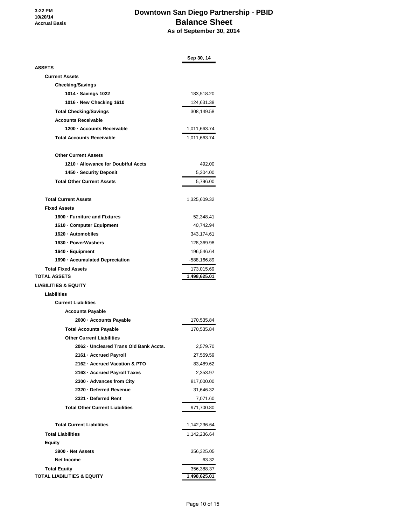# **Downtown San Diego Partnership - PBID Balance Sheet As of September 30, 2014**

|                                        | Sep 30, 14   |
|----------------------------------------|--------------|
| <b>ASSETS</b>                          |              |
| <b>Current Assets</b>                  |              |
| <b>Checking/Savings</b>                |              |
| 1014 · Savings 1022                    | 183,518.20   |
| 1016 · New Checking 1610               | 124,631.38   |
| <b>Total Checking/Savings</b>          | 308,149.58   |
| <b>Accounts Receivable</b>             |              |
| 1200 - Accounts Receivable             | 1,011,663.74 |
| <b>Total Accounts Receivable</b>       | 1,011,663.74 |
|                                        |              |
| <b>Other Current Assets</b>            |              |
| 1210 · Allowance for Doubtful Accts    | 492.00       |
| 1450 · Security Deposit                | 5,304.00     |
| <b>Total Other Current Assets</b>      | 5,796.00     |
|                                        |              |
| <b>Total Current Assets</b>            | 1,325,609.32 |
| <b>Fixed Assets</b>                    |              |
| 1600 · Furniture and Fixtures          | 52,348.41    |
| 1610 - Computer Equipment              | 40,742.94    |
| 1620 · Automobiles                     | 343,174.61   |
| 1630 - PowerWashers                    | 128,369.98   |
| 1640 · Equipment                       | 196,546.64   |
| 1690 · Accumulated Depreciation        | -588,166.89  |
| <b>Total Fixed Assets</b>              | 173,015.69   |
| <b>TOTAL ASSETS</b>                    | 1,498,625.01 |
| <b>LIABILITIES &amp; EQUITY</b>        |              |
| <b>Liabilities</b>                     |              |
| <b>Current Liabilities</b>             |              |
| <b>Accounts Payable</b>                |              |
| 2000 - Accounts Payable                | 170,535.84   |
| <b>Total Accounts Payable</b>          | 170,535.84   |
| <b>Other Current Liabilities</b>       |              |
| 2062 - Uncleared Trans Old Bank Accts. | 2,579.70     |
| 2161 · Accrued Payroll                 | 27,559.59    |
| 2162 · Accrued Vacation & PTO          | 83,489.62    |
| 2163 - Accrued Payroll Taxes           | 2,353.97     |
| 2300 · Advances from City              | 817,000.00   |
| 2320 - Deferred Revenue                | 31,646.32    |
| 2321 - Deferred Rent                   | 7,071.60     |
| <b>Total Other Current Liabilities</b> | 971,700.80   |
| <b>Total Current Liabilities</b>       | 1,142,236.64 |
| <b>Total Liabilities</b>               | 1,142,236.64 |
| <b>Equity</b>                          |              |
| 3900 · Net Assets                      | 356,325.05   |
| Net Income                             | 63.32        |
| <b>Total Equity</b>                    | 356,388.37   |
| <b>TOTAL LIABILITIES &amp; EQUITY</b>  | 1,498,625.01 |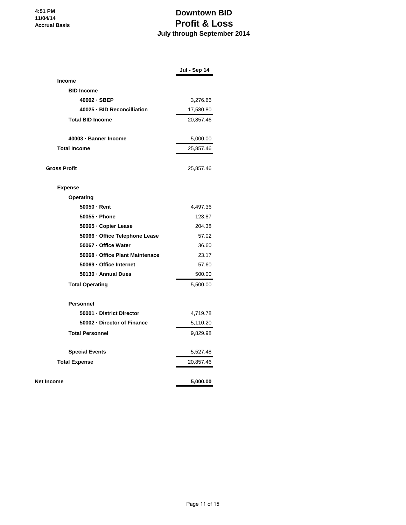# **Downtown BID Profit & Loss July through September 2014**

|                                 | Jul - Sep 14 |
|---------------------------------|--------------|
| <b>Income</b>                   |              |
| <b>BID Income</b>               |              |
| 40002 · SBEP                    | 3,276.66     |
| 40025 · BID Reconcilliation     | 17,580.80    |
| <b>Total BID Income</b>         | 20,857.46    |
| 40003 - Banner Income           | 5,000.00     |
| <b>Total Income</b>             | 25,857.46    |
| <b>Gross Profit</b>             | 25,857.46    |
| <b>Expense</b>                  |              |
| Operating                       |              |
| 50050 - Rent                    | 4,497.36     |
| 50055 · Phone                   | 123.87       |
| 50065 · Copier Lease            | 204.38       |
| 50066 · Office Telephone Lease  | 57.02        |
| 50067 - Office Water            | 36.60        |
| 50068 - Office Plant Maintenace | 23.17        |
| 50069 - Office Internet         | 57.60        |
| 50130 · Annual Dues             | 500.00       |
| <b>Total Operating</b>          | 5,500.00     |
| <b>Personnel</b>                |              |
| 50001 - District Director       | 4,719.78     |
| 50002 - Director of Finance     | 5,110.20     |
| <b>Total Personnel</b>          | 9,829.98     |
| <b>Special Events</b>           | 5,527.48     |
| <b>Total Expense</b>            | 20,857.46    |
| <b>Net Income</b>               | 5,000.00     |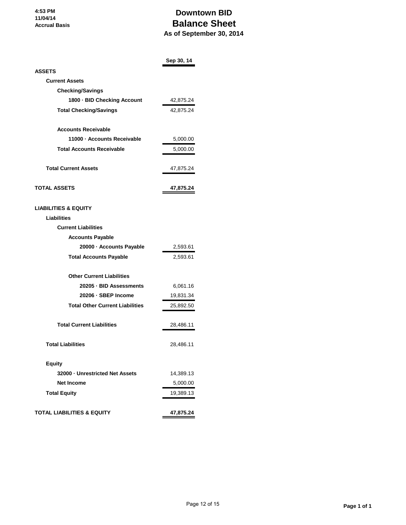# **Downtown BID Balance Sheet As of September 30, 2014**

|                                        | Sep 30, 14 |
|----------------------------------------|------------|
| <b>ASSETS</b>                          |            |
| <b>Current Assets</b>                  |            |
| <b>Checking/Savings</b>                |            |
| 1800 - BID Checking Account            | 42,875.24  |
| <b>Total Checking/Savings</b>          | 42,875.24  |
| <b>Accounts Receivable</b>             |            |
| 11000 - Accounts Receivable            | 5,000.00   |
| <b>Total Accounts Receivable</b>       | 5,000.00   |
| <b>Total Current Assets</b>            | 47,875.24  |
| <b>TOTAL ASSETS</b>                    | 47,875.24  |
| <b>LIABILITIES &amp; EQUITY</b>        |            |
| Liabilities                            |            |
| <b>Current Liabilities</b>             |            |
| <b>Accounts Payable</b>                |            |
| 20000 - Accounts Payable               | 2,593.61   |
| <b>Total Accounts Payable</b>          | 2,593.61   |
| <b>Other Current Liabilities</b>       |            |
| 20205 - BID Assessments                | 6,061.16   |
| 20206 · SBEP Income                    | 19,831.34  |
| <b>Total Other Current Liabilities</b> | 25,892.50  |
| <b>Total Current Liabilities</b>       | 28,486.11  |
| <b>Total Liabilities</b>               | 28,486.11  |
| <b>Equity</b>                          |            |
| 32000 - Unrestricted Net Assets        | 14,389.13  |
| <b>Net Income</b>                      | 5,000.00   |
| <b>Total Equity</b>                    | 19,389.13  |
| <b>TOTAL LIABILITIES &amp; EQUITY</b>  | 47,875.24  |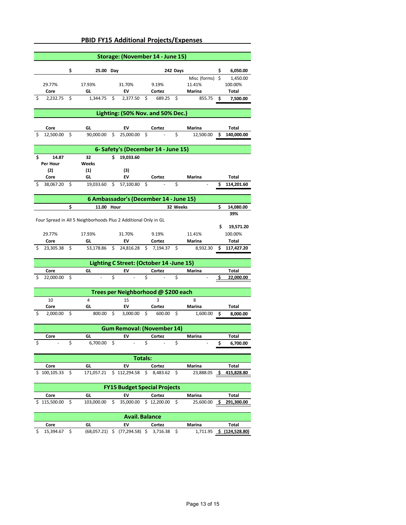|                                                                 |                                   |    | <b>PBID FY15 Additional Projects/Expenses</b> |                    |                                        |                         |                    |          |                    |    |                         |
|-----------------------------------------------------------------|-----------------------------------|----|-----------------------------------------------|--------------------|----------------------------------------|-------------------------|--------------------|----------|--------------------|----|-------------------------|
|                                                                 |                                   |    |                                               |                    | Storage: (November 14 - June 15)       |                         |                    |          |                    |    |                         |
|                                                                 |                                   |    |                                               |                    |                                        |                         |                    |          |                    |    |                         |
|                                                                 |                                   | \$ | 25.00 Day                                     |                    |                                        |                         |                    | 242 Days |                    | \$ | 6,050.00                |
|                                                                 |                                   |    |                                               |                    |                                        |                         |                    |          | Misc (forms)       | \$ | 1,450.00                |
|                                                                 | 29.77%<br>Core                    |    | 17.93%<br>GL                                  |                    | 31.70%<br>EV                           |                         | 9.19%<br>Cortez    |          | 11.41%<br>Marina   |    | 100.00%<br><b>Total</b> |
| S                                                               | 2,232.75                          | \$ | 1,344.75                                      | \$                 | 2,377.50                               | \$                      | 689.25             | \$       | 855.75             | \$ | 7,500.00                |
|                                                                 |                                   |    |                                               |                    |                                        |                         |                    |          |                    |    |                         |
| Lighting: (50% Nov. and 50% Dec.)                               |                                   |    |                                               |                    |                                        |                         |                    |          |                    |    |                         |
|                                                                 | Core                              |    | GL                                            |                    | EV                                     |                         | Cortez             |          | Marina             |    | Total                   |
|                                                                 | 12,500.00                         | \$ | 90,000.00                                     | \$                 | 25,000.00                              | \$                      |                    | \$       | 12,500.00          | \$ | 140,000.00              |
| 6- Safety's (December 14 - June 15)                             |                                   |    |                                               |                    |                                        |                         |                    |          |                    |    |                         |
| \$                                                              | 14.87                             |    | 32                                            | \$                 | 19,033.60                              |                         |                    |          |                    |    |                         |
|                                                                 | Per Hour                          |    | Weeks                                         |                    |                                        |                         |                    |          |                    |    |                         |
|                                                                 | (2)                               |    | (1)                                           |                    | (3)                                    |                         |                    |          |                    |    |                         |
|                                                                 | Core                              |    | GL                                            |                    | EV                                     |                         | Cortez             |          | Marina             |    | Total                   |
| \$                                                              | 38,067.20                         | \$ | 19,033.60                                     | \$                 | 57,100.80                              | \$                      |                    | \$       |                    | \$ | 114,201.60              |
|                                                                 |                                   |    |                                               |                    | 6 Ambassador's (December 14 - June 15) |                         |                    |          |                    |    |                         |
|                                                                 |                                   | \$ | 11.00 Hour                                    |                    |                                        |                         |                    | 32 Weeks |                    | \$ | 14,080.00               |
|                                                                 |                                   |    |                                               |                    |                                        |                         |                    |          |                    |    | 39%                     |
| Four Spread in All 5 Neighborhoods Plus 2 Additional Only in GL |                                   |    |                                               |                    |                                        |                         |                    |          |                    |    |                         |
|                                                                 |                                   |    |                                               |                    |                                        |                         |                    |          |                    | \$ | 19,571.20               |
|                                                                 | 29.77%                            |    | 17.93%                                        |                    | 31.70%                                 |                         | 9.19%              |          | 11.41%             |    | 100.00%                 |
|                                                                 | Core<br>23,305.38                 | \$ | GL<br>53,178.86                               | \$                 | EV<br>24,816.28                        | \$                      | Cortez<br>7,194.37 | \$       | Marina<br>8,932.30 | \$ | Total<br>117,427.20     |
|                                                                 |                                   |    |                                               |                    |                                        |                         |                    |          |                    |    |                         |
| Lighting C Street: (October 14 -June 15)                        |                                   |    |                                               |                    |                                        |                         |                    |          |                    |    |                         |
|                                                                 | Core                              |    | GL                                            |                    | EV                                     |                         | Cortez             |          | Marina             |    | <b>Total</b>            |
|                                                                 | 22,000.00                         | \$ |                                               | \$                 |                                        | \$                      |                    | \$       |                    | ς  | 22,000.00               |
| Trees per Neighborhood @ \$200 each                             |                                   |    |                                               |                    |                                        |                         |                    |          |                    |    |                         |
|                                                                 | 10                                |    | 4                                             |                    | 15                                     |                         | 3                  |          | 8                  |    |                         |
|                                                                 | Core                              |    | GL                                            |                    | EV                                     |                         | Cortez             |          | <b>Marina</b>      |    | Total                   |
| Ŝ                                                               | 2,000.00                          | \$ | 800.00                                        | \$                 | 3,000.00                               | \$                      | 600.00             | \$       | 1,600.00           | \$ | 8,000.00                |
|                                                                 | <b>Gum Removal: (November 14)</b> |    |                                               |                    |                                        |                         |                    |          |                    |    |                         |
|                                                                 |                                   |    |                                               |                    |                                        |                         |                    |          | Marina             |    | Total                   |
|                                                                 |                                   | Ś  | 6,700.00                                      | $\mathsf{\hat{S}}$ |                                        | $\overline{\mathsf{s}}$ |                    |          |                    | \$ | 6,700.00                |
| <b>Totals:</b>                                                  |                                   |    |                                               |                    |                                        |                         |                    |          |                    |    |                         |
|                                                                 | Core                              |    | GL                                            |                    | EV                                     |                         | Cortez             |          | Marina             |    | Total                   |
| S                                                               | 100,105.33                        | \$ | 171,057.21                                    |                    | \$112,294.58                           | \$                      | 8,483.62           | \$       | 23,888.05          | \$ | <u>415,828.80</u>       |
| <b>FY15 Budget Special Projects</b>                             |                                   |    |                                               |                    |                                        |                         |                    |          |                    |    |                         |
|                                                                 | Core                              |    | GL                                            |                    | EV                                     |                         | Cortez             |          | Marina             |    | <b>Total</b>            |
|                                                                 | 115,500.00                        | \$ | 103,000.00                                    | \$                 | 35,000.00                              |                         | \$12,200.00        | \$       | 25,600.00          | \$ | 291,300.00              |
| <b>Avail. Balance</b>                                           |                                   |    |                                               |                    |                                        |                         |                    |          |                    |    |                         |
|                                                                 | Core                              |    | GL                                            |                    | EV                                     |                         | Cortez             |          | Marina             |    | <b>Total</b>            |

\$ 15,394.67 \$ (68,057.21) \$ (77,294.58) \$ 3,716.38 \$ 1,711.95 **\$ (124,528.80)**

## **PBID FY15 Additional Projects/Expenses**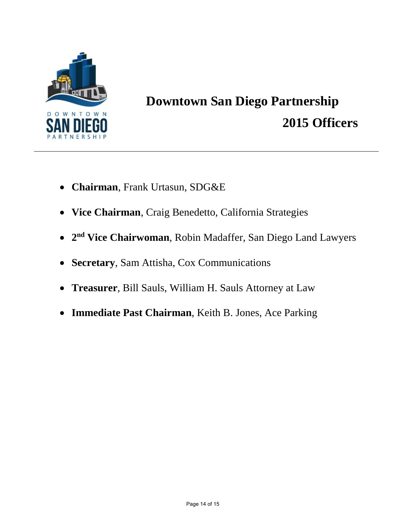

# **Downtown San Diego Partnership 2015 Officers**

- **Chairman**, Frank Urtasun, SDG&E
- **Vice Chairman**, Craig Benedetto, California Strategies
- **2nd Vice Chairwoman**, Robin Madaffer, San Diego Land Lawyers
- **Secretary**, Sam Attisha, Cox Communications
- **Treasurer**, Bill Sauls, William H. Sauls Attorney at Law
- **Immediate Past Chairman**, Keith B. Jones, Ace Parking